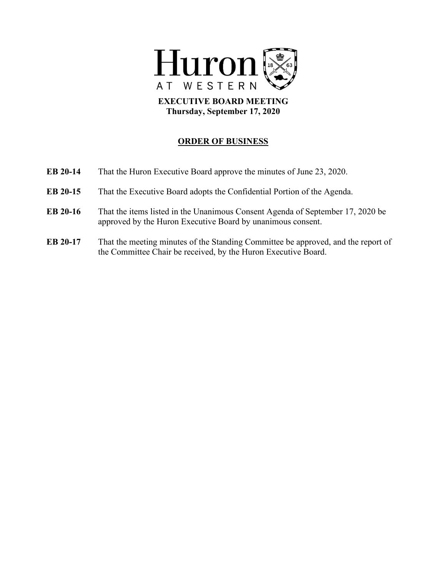

**EXECUTIVE BOARD MEETING Thursday, September 17, 2020**

## **ORDER OF BUSINESS**

| EB 20-14 | That the Huron Executive Board approve the minutes of June 23, 2020.                                                                                |
|----------|-----------------------------------------------------------------------------------------------------------------------------------------------------|
| EB 20-15 | That the Executive Board adopts the Confidential Portion of the Agenda.                                                                             |
| EB 20-16 | That the items listed in the Unanimous Consent Agenda of September 17, 2020 be<br>approved by the Huron Executive Board by unanimous consent.       |
| EB 20-17 | That the meeting minutes of the Standing Committee be approved, and the report of<br>the Committee Chair be received, by the Huron Executive Board. |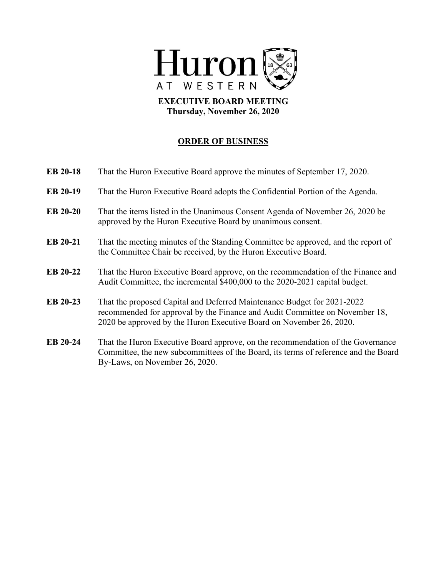

**EXECUTIVE BOARD MEETING Thursday, November 26, 2020**

## **ORDER OF BUSINESS**

| EB 20-18 | That the Huron Executive Board approve the minutes of September 17, 2020.                                                                                                                                                     |
|----------|-------------------------------------------------------------------------------------------------------------------------------------------------------------------------------------------------------------------------------|
| EB 20-19 | That the Huron Executive Board adopts the Confidential Portion of the Agenda.                                                                                                                                                 |
| EB 20-20 | That the items listed in the Unanimous Consent Agenda of November 26, 2020 be<br>approved by the Huron Executive Board by unanimous consent.                                                                                  |
| EB 20-21 | That the meeting minutes of the Standing Committee be approved, and the report of<br>the Committee Chair be received, by the Huron Executive Board.                                                                           |
| EB 20-22 | That the Huron Executive Board approve, on the recommendation of the Finance and<br>Audit Committee, the incremental \$400,000 to the 2020-2021 capital budget.                                                               |
| EB 20-23 | That the proposed Capital and Deferred Maintenance Budget for 2021-2022<br>recommended for approval by the Finance and Audit Committee on November 18,<br>2020 be approved by the Huron Executive Board on November 26, 2020. |
| EB 20-24 | That the Huron Executive Board approve, on the recommendation of the Governance<br>Committee, the new subcommittees of the Board, its terms of reference and the Board<br>By-Laws, on November 26, 2020.                      |